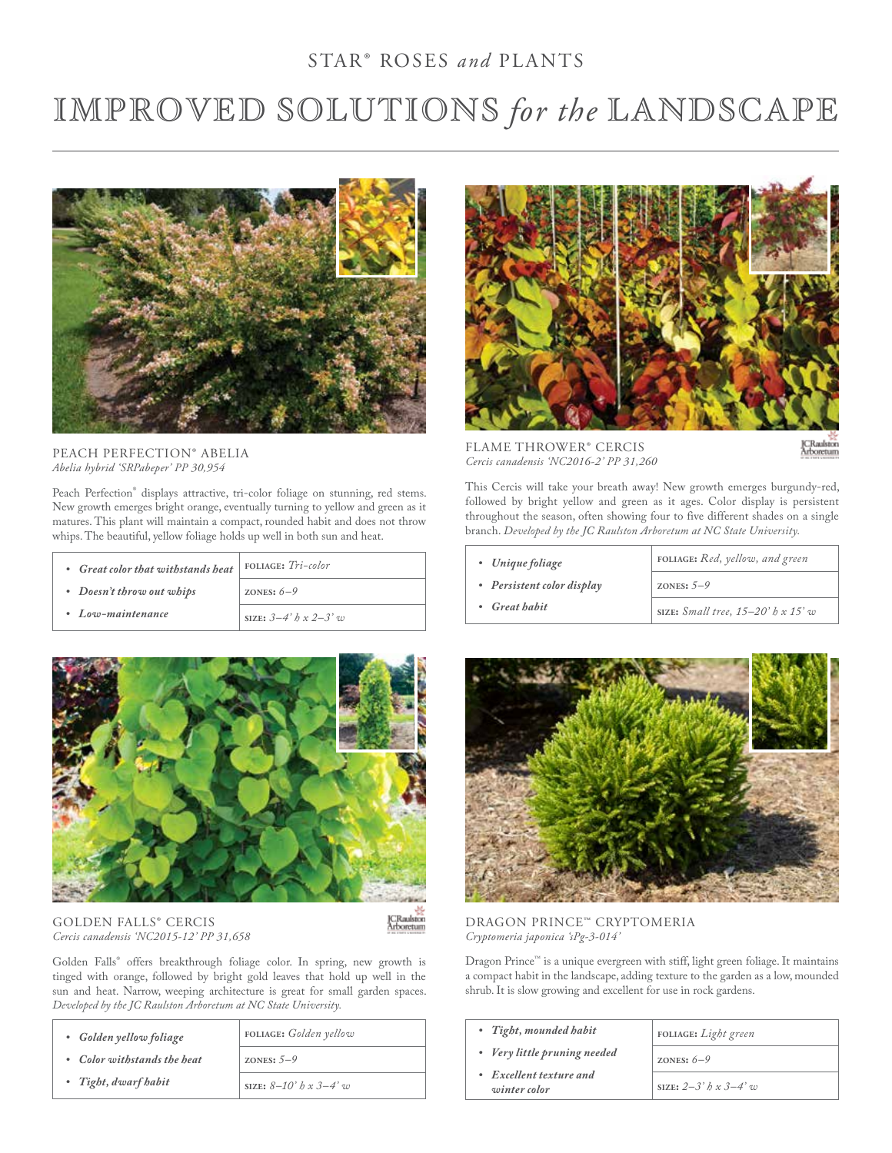## STAR® ROSES *and* PLANTS

# IMPROVED SOLUTIONS *for the* LANDSCAPE



PEACH PERFECTION® ABELIA *Abelia hybrid 'SRPabeper' PP 30,954* 

Peach Perfection® displays attractive, tri-color foliage on stunning, red stems. New growth emerges bright orange, eventually turning to yellow and green as it matures. This plant will maintain a compact, rounded habit and does not throw whips. The beautiful, yellow foliage holds up well in both sun and heat.

| • Great color that withstands heat | FOLIAGE: $Tri-color$    |
|------------------------------------|-------------------------|
| • Doesn't throw out whips          | ZONES: $6-9$            |
| • Low-maintenance                  | SIZE: $3-4$ h x $2-3$ w |



GOLDEN FALLS® CERCIS *Cercis canadensis 'NC2015-12' PP 31,658*  JCRaulston<br>Arboretum

Golden Falls® offers breakthrough foliage color. In spring, new growth is tinged with orange, followed by bright gold leaves that hold up well in the sun and heat. Narrow, weeping architecture is great for small garden spaces. *Developed by the JC Raulston Arboretum at NC State University.*

| • Golden yellow foliage     | FOLIAGE: Golden yellow            |
|-----------------------------|-----------------------------------|
| • Color withstands the heat | ZONES: $5-9$                      |
| • Tight, dwarf habit        | SIZE: $8-10$ ' $h \times 3-4$ ' w |



FLAME THROWER® CERCIS *Cercis canadensis 'NC2016-2' PP 31,260*

This Cercis will take your breath away! New growth emerges burgundy-red, followed by bright yellow and green as it ages. Color display is persistent throughout the season, often showing four to five different shades on a single branch. *Developed by the JC Raulston Arboretum at NC State University.*

| • Unique foliage           | FOLIAGE: Red, yellow, and green                 |
|----------------------------|-------------------------------------------------|
| • Persistent color display | ZONES: $5-9$                                    |
| • Great habit              | SIZE: $Small$ tree, $15-20$ ' $b \times 15$ ' w |



### DRAGON PRINCE™ CRYPTOMERIA *Cryptomeria japonica 'sPg-3-014'*

Dragon Prince™ is a unique evergreen with stiff, light green foliage. It maintains a compact habit in the landscape, adding texture to the garden as a low, mounded shrub. It is slow growing and excellent for use in rock gardens.

| • Tight, mounded habit                  | FOLIAGE: Light green             |
|-----------------------------------------|----------------------------------|
| • Very little pruning needed            | ZONES: $6-9$                     |
| • Excellent texture and<br>winter color | SIZE: $2-3$ ' $h \times 3-4$ ' w |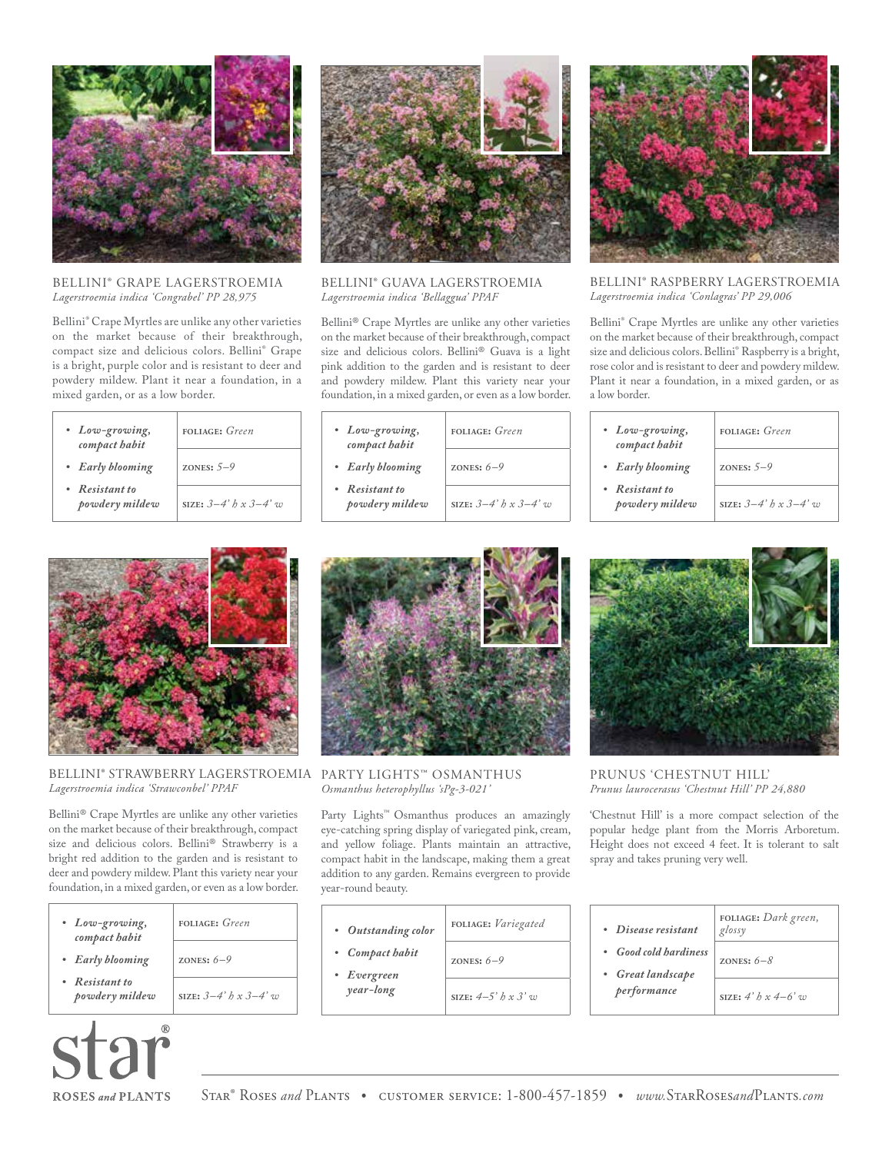

#### BELLINI® GRAPE LAGERSTROEMIA *Lagerstroemia indica 'Congrabel' PP 28,975*

Bellini® Crape Myrtles are unlike any other varieties on the market because of their breakthrough, compact size and delicious colors. Bellini® Grape is a bright, purple color and is resistant to deer and powdery mildew. Plant it near a foundation, in a mixed garden, or as a low border.

| • Low-growing,<br>compact habit  | <b>FOLIAGE:</b> Green       |
|----------------------------------|-----------------------------|
| • Early blooming                 | ZONES: $5-9$                |
| • Resistant to<br>powdery mildew | SIZE: $3-4$ ' h x $3-4$ ' w |



BELLINI® GUAVA LAGERSTROEMIA *Lagerstroemia indica 'Bellaggua' PPAF*

Bellini® Crape Myrtles are unlike any other varieties on the market because of their breakthrough, compact size and delicious colors. Bellini® Guava is a light pink addition to the garden and is resistant to deer and powdery mildew. Plant this variety near your foundation, in a mixed garden, or even as a low border.

| • Low-growing,<br>compact habit  | <b>FOLIAGE:</b> Green            |
|----------------------------------|----------------------------------|
| • Early blooming                 | ZONES: $6-9$                     |
| • Resistant to<br>powdery mildew | SIZE: $3-4$ ' $h \times 3-4$ ' w |



BELLINI® RASPBERRY LAGERSTROEMIA *Lagerstroemia indica 'Conlagras' PP 29,006*

Bellini® Crape Myrtles are unlike any other varieties on the market because of their breakthrough, compact size and delicious colors. Bellini® Raspberry is a bright, rose color and is resistant to deer and powdery mildew. Plant it near a foundation, in a mixed garden, or as a low border.

| • Low-growing,<br>compact habit  | <b>FOLIAGE:</b> Green            |
|----------------------------------|----------------------------------|
| • Early blooming                 | ZONES: $5-9$                     |
| • Resistant to<br>powdery mildew | SIZE: $3-4$ ' $h \times 3-4$ ' w |



#### BELLINI® STRAWBERRY LAGERSTROEMIA PARTY LIGHTS™ OSMANTHUS *Lagerstroemia indica 'Strawconbel' PPAF*

Bellini® Crape Myrtles are unlike any other varieties on the market because of their breakthrough, compact size and delicious colors. Bellini® Strawberry is a bright red addition to the garden and is resistant to deer and powdery mildew. Plant this variety near your foundation, in a mixed garden, or even as a low border.

| • Low-growing,<br>compact habit  | <b>FOLIAGE:</b> Green            |
|----------------------------------|----------------------------------|
| • Early blooming                 | ZONES: $6-9$                     |
| • Resistant to<br>powdery mildew | SIZE: $3-4$ ' $h \times 3-4$ ' w |



*Osmanthus heterophyllus 'sPg-3-021'*

Party Lights™ Osmanthus produces an amazingly eye-catching spring display of variegated pink, cream, and yellow foliage. Plants maintain an attractive, compact habit in the landscape, making them a great addition to any garden. Remains evergreen to provide year-round beauty.

| • Outstanding color            | FOLIAGE: Variegated            |
|--------------------------------|--------------------------------|
| • Compact habit<br>• Evergreen | ZONES: $6-9$                   |
| year-long                      | SIZE: $4-5$ ' $h \times 3$ ' w |



PRUNUS 'CHESTNUT HILL' *Prunus laurocerasus 'Chestnut Hill' PP 24,880* 

'Chestnut Hill' is a more compact selection of the popular hedge plant from the Morris Arboretum. Height does not exceed 4 feet. It is tolerant to salt spray and takes pruning very well.

| • Disease resistant                        | FOLIAGE: Dark green,<br>glossy |
|--------------------------------------------|--------------------------------|
| • Good cold hardiness<br>• Great landscape | ZONES: $6-8$                   |
| performance                                | SIZE: $4' h x 4-6' \eta v$     |

**ROSES** and **PLANTS**